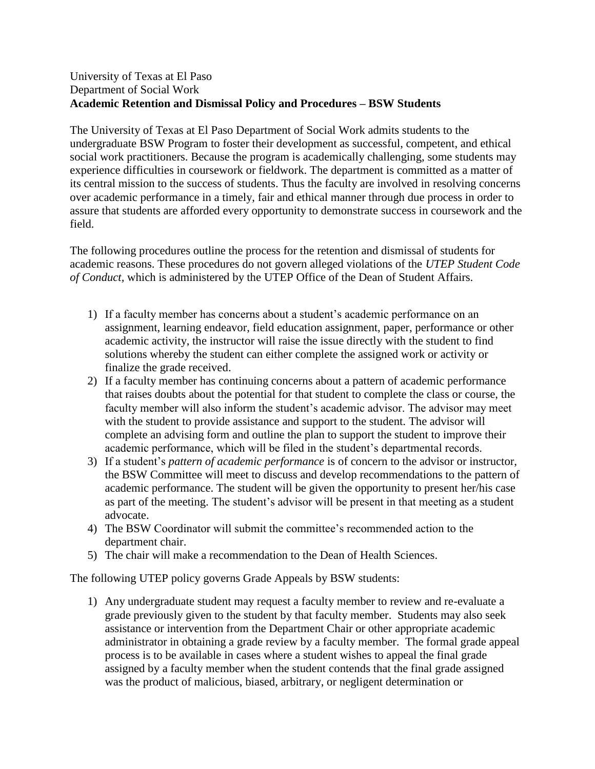## University of Texas at El Paso Department of Social Work **Academic Retention and Dismissal Policy and Procedures – BSW Students**

The University of Texas at El Paso Department of Social Work admits students to the undergraduate BSW Program to foster their development as successful, competent, and ethical social work practitioners. Because the program is academically challenging, some students may experience difficulties in coursework or fieldwork. The department is committed as a matter of its central mission to the success of students. Thus the faculty are involved in resolving concerns over academic performance in a timely, fair and ethical manner through due process in order to assure that students are afforded every opportunity to demonstrate success in coursework and the field.

The following procedures outline the process for the retention and dismissal of students for academic reasons. These procedures do not govern alleged violations of the *UTEP Student Code of Conduct,* which is administered by the UTEP Office of the Dean of Student Affairs.

- 1) If a faculty member has concerns about a student's academic performance on an assignment, learning endeavor, field education assignment, paper, performance or other academic activity, the instructor will raise the issue directly with the student to find solutions whereby the student can either complete the assigned work or activity or finalize the grade received.
- 2) If a faculty member has continuing concerns about a pattern of academic performance that raises doubts about the potential for that student to complete the class or course, the faculty member will also inform the student's academic advisor. The advisor may meet with the student to provide assistance and support to the student. The advisor will complete an advising form and outline the plan to support the student to improve their academic performance, which will be filed in the student's departmental records.
- 3) If a student's *pattern of academic performance* is of concern to the advisor or instructor, the BSW Committee will meet to discuss and develop recommendations to the pattern of academic performance. The student will be given the opportunity to present her/his case as part of the meeting. The student's advisor will be present in that meeting as a student advocate.
- 4) The BSW Coordinator will submit the committee's recommended action to the department chair.
- 5) The chair will make a recommendation to the Dean of Health Sciences.

The following UTEP policy governs Grade Appeals by BSW students:

1) Any undergraduate student may request a faculty member to review and re-evaluate a grade previously given to the student by that faculty member. Students may also seek assistance or intervention from the Department Chair or other appropriate academic administrator in obtaining a grade review by a faculty member. The formal grade appeal process is to be available in cases where a student wishes to appeal the final grade assigned by a faculty member when the student contends that the final grade assigned was the product of malicious, biased, arbitrary, or negligent determination or